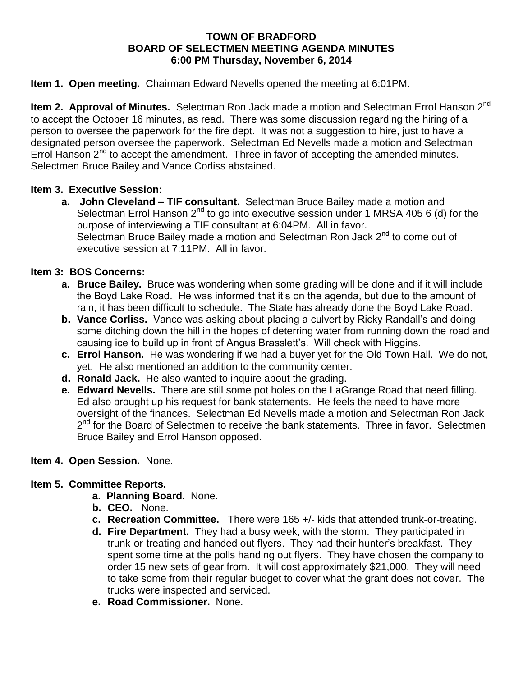#### **TOWN OF BRADFORD BOARD OF SELECTMEN MEETING AGENDA MINUTES 6:00 PM Thursday, November 6, 2014**

### **Item 1. Open meeting.** Chairman Edward Nevells opened the meeting at 6:01PM.

**Item 2. Approval of Minutes.** Selectman Ron Jack made a motion and Selectman Errol Hanson 2nd to accept the October 16 minutes, as read. There was some discussion regarding the hiring of a person to oversee the paperwork for the fire dept. It was not a suggestion to hire, just to have a designated person oversee the paperwork. Selectman Ed Nevells made a motion and Selectman Errol Hanson  $2<sup>nd</sup>$  to accept the amendment. Three in favor of accepting the amended minutes. Selectmen Bruce Bailey and Vance Corliss abstained.

### **Item 3. Executive Session:**

**a. John Cleveland – TIF consultant.** Selectman Bruce Bailey made a motion and Selectman Errol Hanson  $2^{nd}$  to go into executive session under 1 MRSA 405 6 (d) for the purpose of interviewing a TIF consultant at 6:04PM. All in favor. Selectman Bruce Bailey made a motion and Selectman Ron Jack 2<sup>nd</sup> to come out of executive session at 7:11PM. All in favor.

# **Item 3: BOS Concerns:**

- **a. Bruce Bailey.** Bruce was wondering when some grading will be done and if it will include the Boyd Lake Road. He was informed that it's on the agenda, but due to the amount of rain, it has been difficult to schedule. The State has already done the Boyd Lake Road.
- **b. Vance Corliss.** Vance was asking about placing a culvert by Ricky Randall's and doing some ditching down the hill in the hopes of deterring water from running down the road and causing ice to build up in front of Angus Brasslett's. Will check with Higgins.
- **c. Errol Hanson.** He was wondering if we had a buyer yet for the Old Town Hall. We do not, yet. He also mentioned an addition to the community center.
- **d. Ronald Jack.** He also wanted to inquire about the grading.
- **e. Edward Nevells.** There are still some pot holes on the LaGrange Road that need filling. Ed also brought up his request for bank statements. He feels the need to have more oversight of the finances. Selectman Ed Nevells made a motion and Selectman Ron Jack 2<sup>nd</sup> for the Board of Selectmen to receive the bank statements. Three in favor. Selectmen Bruce Bailey and Errol Hanson opposed.

#### **Item 4. Open Session.** None.

# **Item 5. Committee Reports.**

- **a. Planning Board.** None.
- **b. CEO.** None.
- **c. Recreation Committee.** There were 165 +/- kids that attended trunk-or-treating.
- **d. Fire Department.** They had a busy week, with the storm. They participated in trunk-or-treating and handed out flyers. They had their hunter's breakfast. They spent some time at the polls handing out flyers. They have chosen the company to order 15 new sets of gear from. It will cost approximately \$21,000. They will need to take some from their regular budget to cover what the grant does not cover. The trucks were inspected and serviced.
- **e. Road Commissioner.** None.